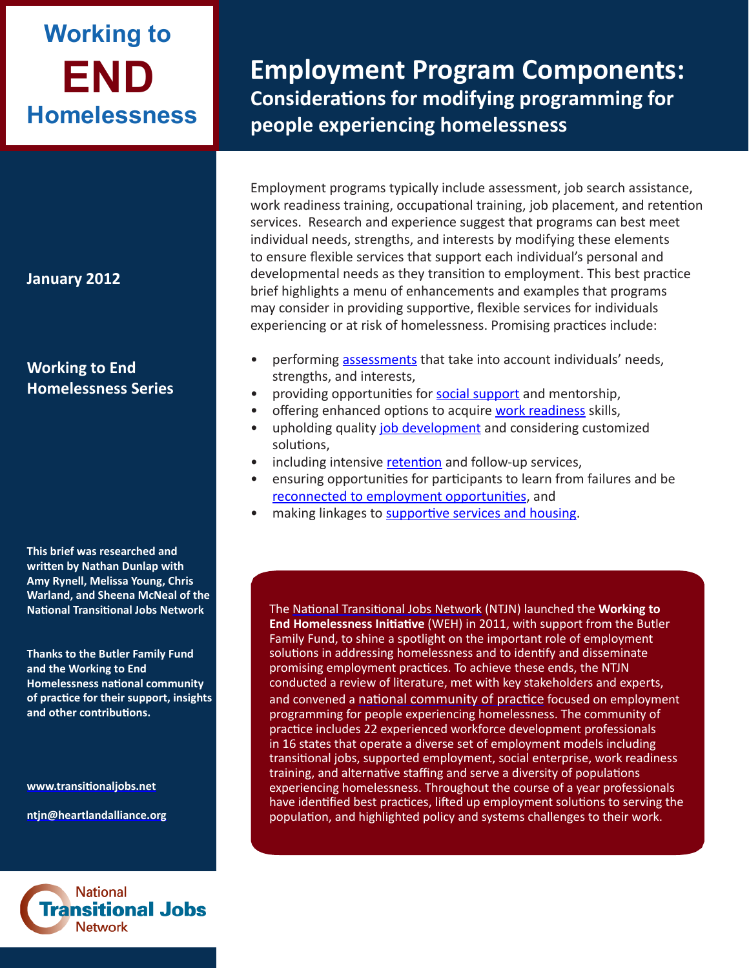# **END Working to Homelessness**

**January 2012**

# **Working to End Homelessness Series**

**This brief was researched and written by Nathan Dunlap with Amy Rynell, Melissa Young, Chris Warland, and Sheena McNeal of the National Transitional Jobs Network** 

**Thanks to the Butler Family Fund and the Working to End Homelessness national community of practice for their support, insights and other contributions.**

**<www.transitionaljobs.net>**

**ntjn[@heartlandalliance.o](mailto:ntjn@heartlandalliance.org)rg**



**Employment Program Components: Considerations for modifying programming for people experiencing homelessness**

Employment programs typically include assessment, job search assistance, work readiness training, occupational training, job placement, and retention services. Research and experience suggest that programs can best meet individual needs, strengths, and interests by modifying these elements to ensure flexible services that support each individual's personal and developmental needs as they transition to employment. This best practice brief highlights a menu of enhancements and examples that programs may consider in providing supportive, flexible services for individuals experiencing or at risk of homelessness. Promising practices include:

- performing [assessments](#page-1-0) that take into account individuals' needs, strengths, and interests,
- providing opportunities for [social support](#page-3-0) and mentorship,
- offering enhanced options to acquire [work readiness](#page-5-0) skills,
- upholding quality [job development](#page-6-0) and considering customized solutions,
- including intensive [retention](#page-9-0) and follow-up services,
- ensuring opportunities for participants to learn from failures and be [reconnected to employment opportunities](#page-10-0), and
- making linkages to [supportive services and housing](#page-11-0).

The [National Transitional Jobs Network](http://www.transitionaljobs.net/) (NTJN) launched the **Working to End Homelessness Initiative** (WEH) in 2011, with support from the Butler Family Fund, to shine a spotlight on the important role of employment solutions in addressing homelessness and to identify and disseminate promising employment practices. To achieve these ends, the NTJN conducted a review of literature, met with key stakeholders and experts, and convened a [national community of practice](http://www.heartlandalliance.org/ntjn/ntjn-weh-provider-directory-1-24-2012.pdf) focused on employment programming for people experiencing homelessness. The community of practice includes 22 experienced workforce development professionals in 16 states that operate a diverse set of employment models including transitional jobs, supported employment, social enterprise, work readiness training, and alternative staffing and serve a diversity of populations experiencing homelessness. Throughout the course of a year professionals have identified best practices, lifted up employment solutions to serving the population, and highlighted policy and systems challenges to their work.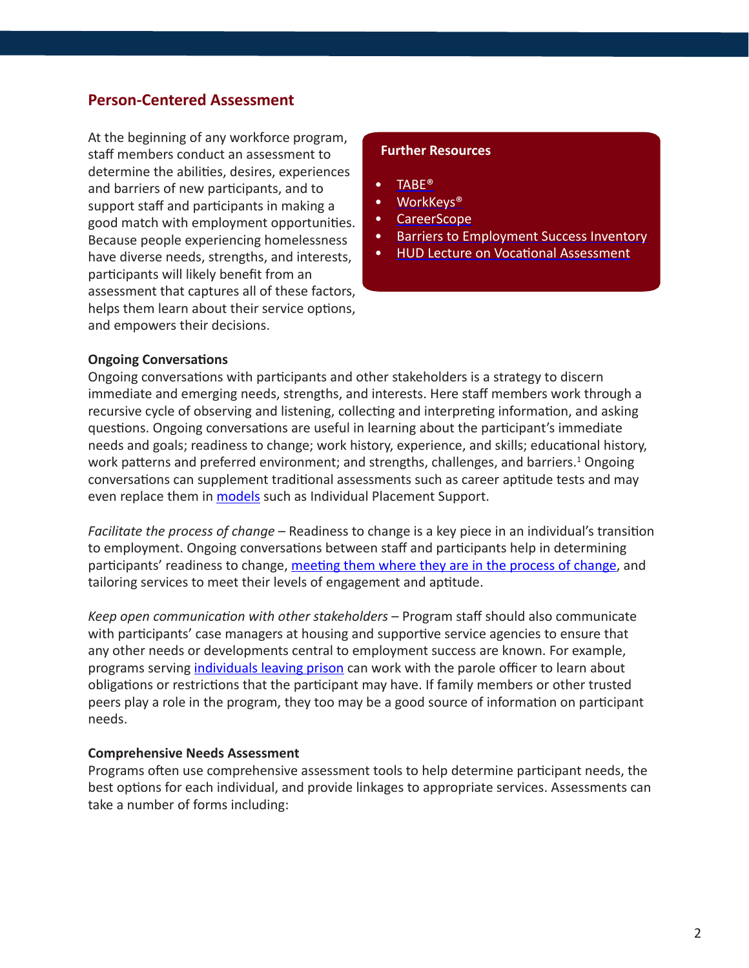## <span id="page-1-0"></span>**Person-Centered Assessment**

At the beginning of any workforce program, staff members conduct an assessment to determine the abilities, desires, experiences and barriers of new participants, and to support staff and participants in making a good match with employment opportunities. Because people experiencing homelessness have diverse needs, strengths, and interests, participants will likely benefit from an assessment that captures all of these factors, helps them learn about their service options, and empowers their decisions.

#### **Further Resources**

- [TABE®](http://www.ctb.com/ctb.com/control/productFamilyViewAction?productFamilyId=608&p=products)
- [WorkKeys®](http://www.act.org/workkeys/)
- [CareerScope](http://www.vri.org/products/careerscope-v10/benefits)
- [Barriers to Employment Success Inventory](http://www.careercc.com/shopmall/html/barriers_to_employment_success_inventory.shtml)
- [HUD Lecture on Vocational Assessment](http://hudhre.info/documents/AudioLecture1_Pamphlet.pdf)

#### **Ongoing Conversations**

Ongoing conversations with participants and other stakeholders is a strategy to discern immediate and emerging needs, strengths, and interests. Here staff members work through a recursive cycle of observing and listening, collecting and interpreting information, and asking questions. Ongoing conversations are useful in learning about the participant's immediate needs and goals; readiness to change; work history, experience, and skills; educational history, work patterns and preferred environment; and strengths, challenges, and barriers.<sup>1</sup> Ongoing conversations can supplement traditional assessments such as career aptitude tests and may even replace them in [models](http://www.heartlandalliance.org/ntjn/ntjn-weh-models-1-24-2012.pdf) such as Individual Placement Support.

*Facilitate the process of change* – Readiness to change is a key piece in an individual's transition to employment. Ongoing conversations between staff and participants help in determining participants' readiness to change, [meeting them where they are in the process of change](http://www.heartlandalliance.org/ntjn/ntjn-weh-principles-1-24-2012.pdf), and tailoring services to meet their levels of engagement and aptitude.

*Keep open communication with other stakeholders* – Program staff should also communicate with participants' case managers at housing and supportive service agencies to ensure that any other needs or developments central to employment success are known. For example, programs serving [individuals leaving prison](http://www.heartlandalliance.org/ntjn/ntjn-weh-populations-1-24-2012.pdf) can work with the parole officer to learn about obligations or restrictions that the participant may have. If family members or other trusted peers play a role in the program, they too may be a good source of information on participant needs.

#### **Comprehensive Needs Assessment**

Programs often use comprehensive assessment tools to help determine participant needs, the best options for each individual, and provide linkages to appropriate services. Assessments can take a number of forms including: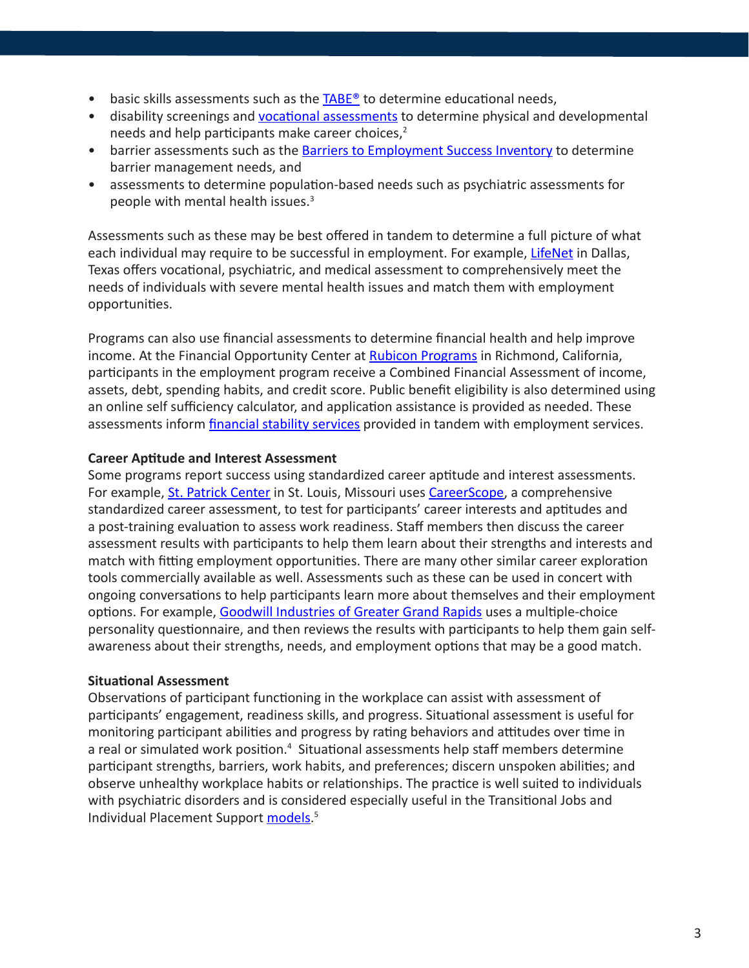- <span id="page-2-0"></span>• basic skills assessments such as the [TABE®](http://www.ctb.com/ctb.com/control/productFamilyViewAction?productFamilyId=608&p=products) to determine educational needs,
- disability screenings and [vocational assessments](http://hudhre.info/documents/AudioLecture1_Pamphlet.pdf) to determine physical and developmental needs and help participants make career choices,<sup>2</sup>
- barrier assessments such as the [Barriers to Employment Success Inventory](http://www.careercc.com/shopmall/html/barriers_to_employment_success_inventory.shtml) to determine barrier management needs, and
- assessments to determine population-based needs such as psychiatric assessments for people with mental health issues.3

Assessments such as these may be best offered in tandem to determine a full picture of what each individual may require to be successful in employment. For example, [LifeNet](http://www.lifenettexas.org/) in Dallas, Texas offers vocational, psychiatric, and medical assessment to comprehensively meet the needs of individuals with severe mental health issues and match them with employment opportunities.

Programs can also use financial assessments to determine financial health and help improve income. At the Financial Opportunity Center at [Rubicon Programs](http://www.rubiconprograms.org/) in Richmond, California, participants in the employment program receive a Combined Financial Assessment of income, assets, debt, spending habits, and credit score. Public benefit eligibility is also determined using an online self sufficiency calculator, and application assistance is provided as needed. These assessments inform [financial stability services](#page-6-0) provided in tandem with employment services.

## **Career Aptitude and Interest Assessment**

Some programs report success using standardized career aptitude and interest assessments. For example, [St. Patrick Center](http://www.stpatrickcenter.org/) in St. Louis, Missouri uses [CareerScope](http://www.vri.org/products/careerscope-v10/benefits), a comprehensive standardized career assessment, to test for participants' career interests and aptitudes and a post-training evaluation to assess work readiness. Staff members then discuss the career assessment results with participants to help them learn about their strengths and interests and match with fitting employment opportunities. There are many other similar career exploration tools commercially available as well. Assessments such as these can be used in concert with ongoing conversations to help participants learn more about themselves and their employment options. For example, [Goodwill Industries of Greater Grand Rapids](http://www.goodwillgr.org/) uses a multiple-choice personality questionnaire, and then reviews the results with participants to help them gain selfawareness about their strengths, needs, and employment options that may be a good match.

## **Situational Assessment**

Observations of participant functioning in the workplace can assist with assessment of participants' engagement, readiness skills, and progress. Situational assessment is useful for monitoring participant abilities and progress by rating behaviors and attitudes over time in a real or simulated work position.<sup>4</sup> Situational assessments help staff members determine participant strengths, barriers, work habits, and preferences; discern unspoken abilities; and observe unhealthy workplace habits or relationships. The practice is well suited to individuals with psychiatric disorders and is considered especially useful in the Transitional Jobs and Individual Placement Support [models.](http://www.heartlandalliance.org/ntjn/ntjn-weh-models-1-24-2012.pdf)<sup>5</sup>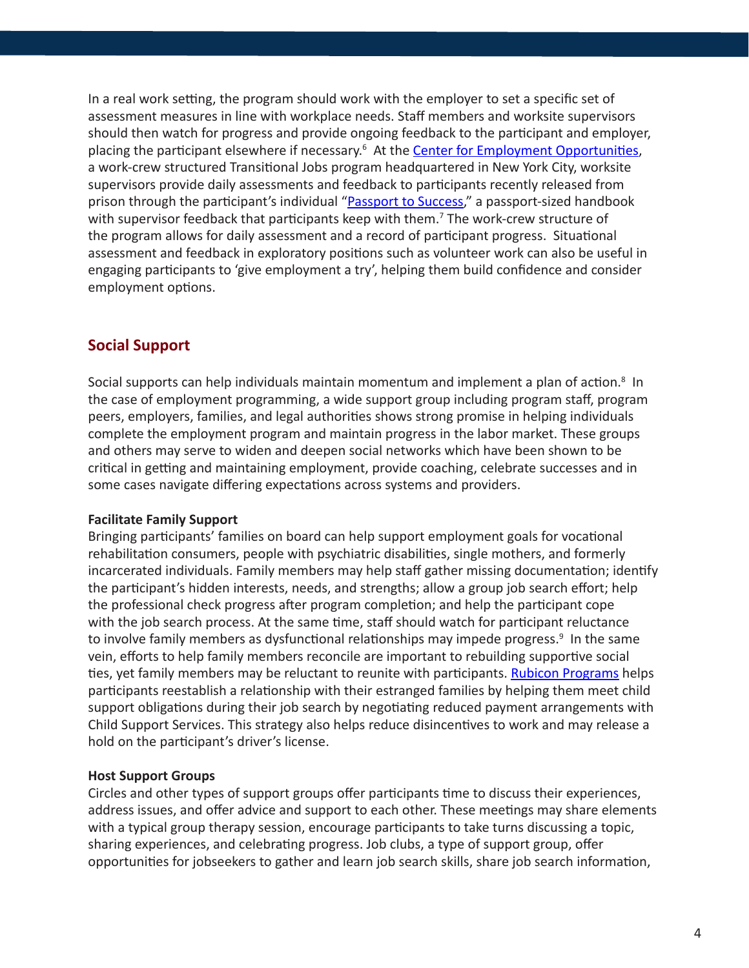<span id="page-3-0"></span>In a real work setting, the program should work with the employer to set a specific set of assessment measures in line with workplace needs. Staff members and worksite supervisors should then watch for progress and provide ongoing feedback to the participant and employer, placing the participant elsewhere if necessary.<sup>6</sup> At the **[Center for Employment Opportunities](http://ceoworks.org/)**, a work-crew structured Transitional Jobs program headquartered in New York City, worksite supervisors provide daily assessments and feedback to participants recently released from prison through the participant's individual "[Passport to Success](http://ceoworks.org/wp-content/uploads/PTSexample.pdf)," a passport-sized handbook with supervisor feedback that participants keep with them.<sup>7</sup> The work-crew structure of the program allows for daily assessment and a record of participant progress. Situational assessment and feedback in exploratory positions such as volunteer work can also be useful in engaging participants to 'give employment a try', helping them build confidence and consider employment options.

## **Social Support**

Social supports can help individuals maintain momentum and implement a plan of action.<sup>8</sup> In the case of employment programming, a wide support group including program staff, program peers, employers, families, and legal authorities shows strong promise in helping individuals complete the employment program and maintain progress in the labor market. These groups and others may serve to widen and deepen social networks which have been shown to be critical in getting and maintaining employment, provide coaching, celebrate successes and in some cases navigate differing expectations across systems and providers.

#### **Facilitate Family Support**

Bringing participants' families on board can help support employment goals for vocational rehabilitation consumers, people with psychiatric disabilities, single mothers, and formerly incarcerated individuals. Family members may help staff gather missing documentation; identify the participant's hidden interests, needs, and strengths; allow a group job search effort; help the professional check progress after program completion; and help the participant cope with the job search process. At the same time, staff should watch for participant reluctance to involve family members as dysfunctional relationships may impede progress.<sup>9</sup> In the same vein, efforts to help family members reconcile are important to rebuilding supportive social ties, yet family members may be reluctant to reunite with participants. [Rubicon Programs](http://www.rubiconprograms.org/index.html) helps participants reestablish a relationship with their estranged families by helping them meet child support obligations during their job search by negotiating reduced payment arrangements with Child Support Services. This strategy also helps reduce disincentives to work and may release a hold on the participant's driver's license.

#### **Host Support Groups**

Circles and other types of support groups offer participants time to discuss their experiences, address issues, and offer advice and support to each other. These meetings may share elements with a typical group therapy session, encourage participants to take turns discussing a topic, sharing experiences, and celebrating progress. Job clubs, a type of support group, offer opportunities for jobseekers to gather and learn job search skills, share job search information,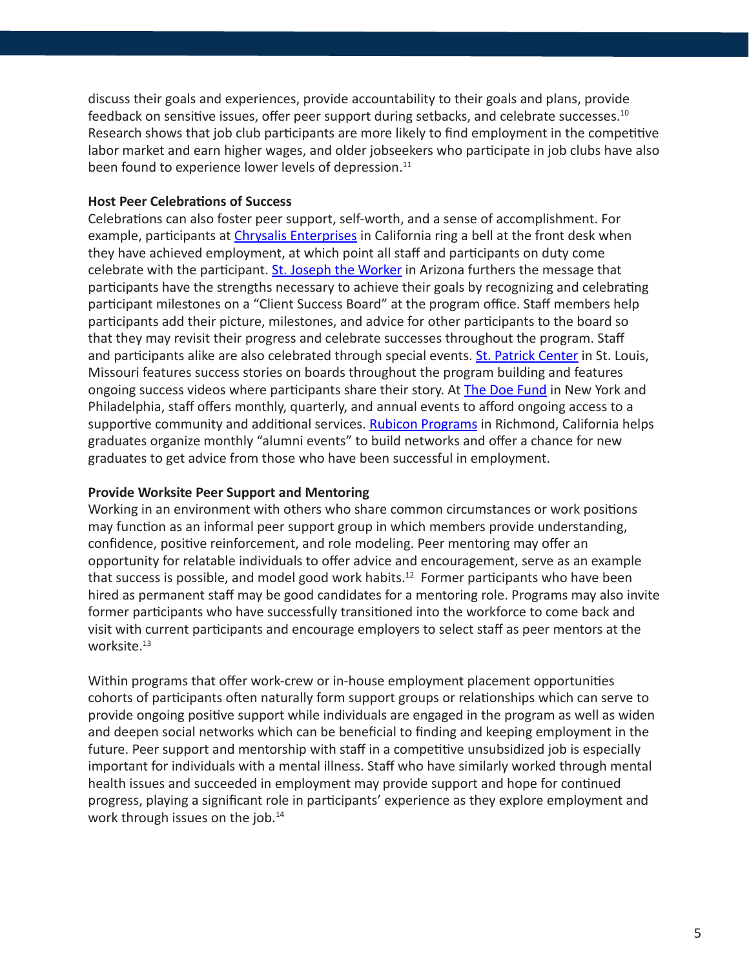discuss their goals and experiences, provide accountability to their goals and plans, provide feedback on sensitive issues, offer peer support during setbacks, and celebrate successes.10 Research shows that job club participants are more likely to find employment in the competitive labor market and earn higher wages, and older jobseekers who participate in job clubs have also been found to experience lower levels of depression.<sup>11</sup>

#### **Host Peer Celebrations of Success**

Celebrations can also foster peer support, self-worth, and a sense of accomplishment. For example, participants at [Chrysalis Enterprises](http://www.changelives.org/) in California ring a bell at the front desk when they have achieved employment, at which point all staff and participants on duty come celebrate with the participant. [St. Joseph the Worker](http://www.sjwjobs.org/) in Arizona furthers the message that participants have the strengths necessary to achieve their goals by recognizing and celebrating participant milestones on a "Client Success Board" at the program office. Staff members help participants add their picture, milestones, and advice for other participants to the board so that they may revisit their progress and celebrate successes throughout the program. Staff and participants alike are also celebrated through special events. **St. Patrick Center** in St. Louis, Missouri features success stories on boards throughout the program building and features ongoing success videos where participants share their story. At [The Doe Fund](http://www.doe.org/) in New York and Philadelphia, staff offers monthly, quarterly, and annual events to afford ongoing access to a supportive community and additional services. [Rubicon Programs](http://www.rubiconprograms.org/) in Richmond, California helps graduates organize monthly "alumni events" to build networks and offer a chance for new graduates to get advice from those who have been successful in employment.

#### **Provide Worksite Peer Support and Mentoring**

Working in an environment with others who share common circumstances or work positions may function as an informal peer support group in which members provide understanding, confidence, positive reinforcement, and role modeling. Peer mentoring may offer an opportunity for relatable individuals to offer advice and encouragement, serve as an example that success is possible, and model good work habits.<sup>12</sup> Former participants who have been hired as permanent staff may be good candidates for a mentoring role. Programs may also invite former participants who have successfully transitioned into the workforce to come back and visit with current participants and encourage employers to select staff as peer mentors at the worksite.<sup>13</sup>

Within programs that offer work-crew or in-house employment placement opportunities cohorts of participants often naturally form support groups or relationships which can serve to provide ongoing positive support while individuals are engaged in the program as well as widen and deepen social networks which can be beneficial to finding and keeping employment in the future. Peer support and mentorship with staff in a competitive unsubsidized job is especially important for individuals with a mental illness. Staff who have similarly worked through mental health issues and succeeded in employment may provide support and hope for continued progress, playing a significant role in participants' experience as they explore employment and work through issues on the job.<sup>14</sup>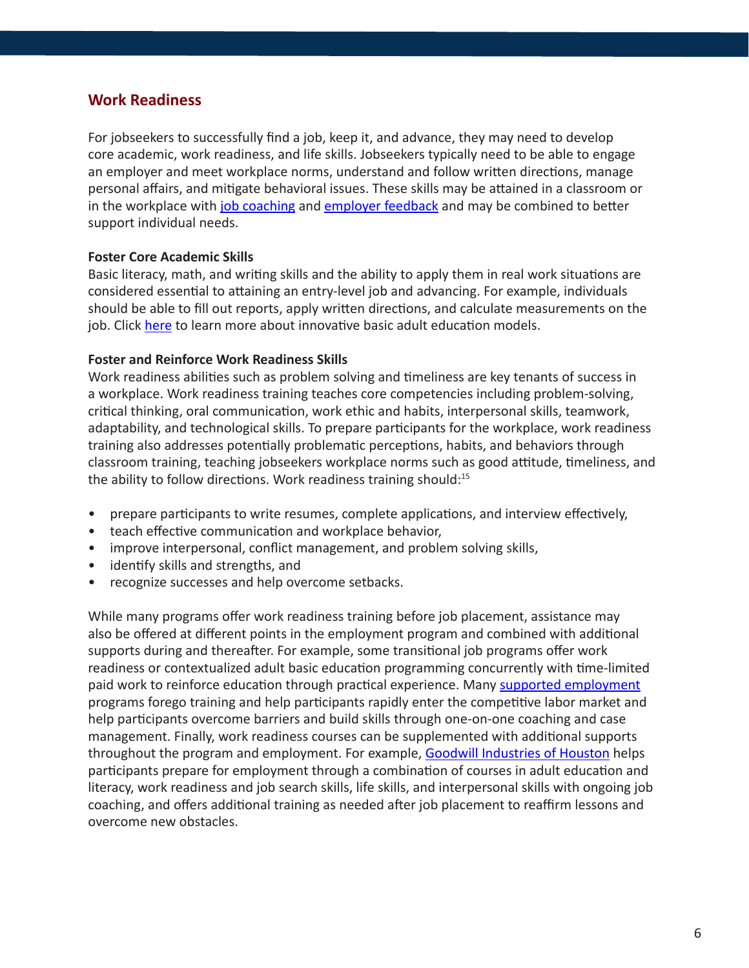## <span id="page-5-0"></span>**Work Readiness**

For jobseekers to successfully find a job, keep it, and advance, they may need to develop core academic, work readiness, and life skills. Jobseekers typically need to be able to engage an employer and meet workplace norms, understand and follow written directions, manage personal affairs, and mitigate behavioral issues. These skills may be attained in a classroom or in the workplace with [job coaching](http://www.heartlandalliance.org/ntjn/ntjn-weh-principles-1-24-2012.pdf) and [employer feedback](#page-2-0) and may be combined to better support individual needs.

#### **Foster Core Academic Skills**

Basic literacy, math, and writing skills and the ability to apply them in real work situations are considered essential to attaining an entry-level job and advancing. For example, individuals should be able to fill out reports, apply written directions, and calculate measurements on the job. Click [here](http://www.heartlandalliance.org/ntjn/ntjn-weh-models-1-24-2012.pdf) to learn more about innovative basic adult education models.

#### **Foster and Reinforce Work Readiness Skills**

Work readiness abilities such as problem solving and timeliness are key tenants of success in a workplace. Work readiness training teaches core competencies including problem-solving, critical thinking, oral communication, work ethic and habits, interpersonal skills, teamwork, adaptability, and technological skills. To prepare participants for the workplace, work readiness training also addresses potentially problematic perceptions, habits, and behaviors through classroom training, teaching jobseekers workplace norms such as good attitude, timeliness, and the ability to follow directions. Work readiness training should:<sup>15</sup>

- prepare participants to write resumes, complete applications, and interview effectively,
- teach effective communication and workplace behavior,
- improve interpersonal, conflict management, and problem solving skills,
- identify skills and strengths, and
- recognize successes and help overcome setbacks.

While many programs offer work readiness training before job placement, assistance may also be offered at different points in the employment program and combined with additional supports during and thereafter. For example, some transitional job programs offer work readiness or contextualized adult basic education programming concurrently with time-limited paid work to reinforce education through practical experience. Many [supported employment](http://www.heartlandalliance.org/ntjn/ntjn-weh-models-1-24-2012.pdf) programs forego training and help participants rapidly enter the competitive labor market and help participants overcome barriers and build skills through one-on-one coaching and case management. Finally, work readiness courses can be supplemented with additional supports throughout the program and employment. For example, [Goodwill Industries of Houston](http://www.goodwillhouston.org/) helps participants prepare for employment through a combination of courses in adult education and literacy, work readiness and job search skills, life skills, and interpersonal skills with ongoing job coaching, and offers additional training as needed after job placement to reaffirm lessons and overcome new obstacles.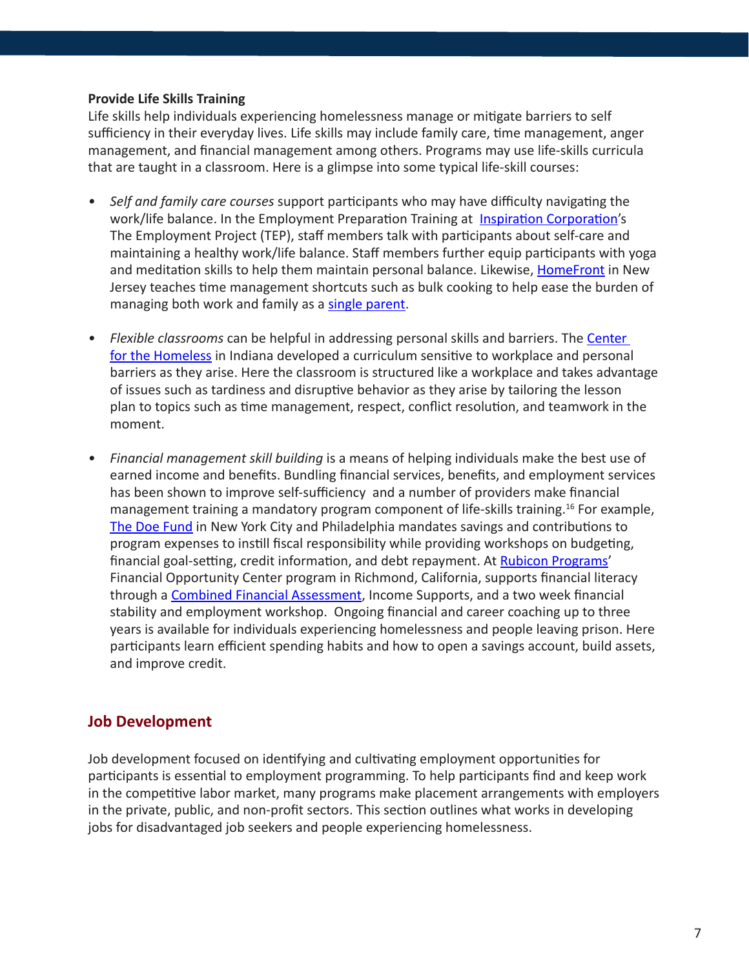#### <span id="page-6-0"></span>**Provide Life Skills Training**

Life skills help individuals experiencing homelessness manage or mitigate barriers to self sufficiency in their everyday lives. Life skills may include family care, time management, anger management, and financial management among others. Programs may use life-skills curricula that are taught in a classroom. Here is a glimpse into some typical life-skill courses:

- *• Self and family care courses* support participants who may have difficulty navigating the work/life balance. In the Employment Preparation Training at [Inspiration Corporation](http://inspirationcorp.org/)'s The Employment Project (TEP), staff members talk with participants about self-care and maintaining a healthy work/life balance. Staff members further equip participants with yoga and meditation skills to help them maintain personal balance. Likewise, [HomeFront](http://www.homefrontnj.org/) in New Jersey teaches time management shortcuts such as bulk cooking to help ease the burden of managing both work and family as a [single parent](http://www.heartlandalliance.org/ntjn/ntjn-weh-populations-1-24-2012.pdf).
- *• Flexible classrooms* can be helpful in addressing personal skills and barriers. The [Center](http://www.cfh.net/)  [for the Homeless](http://www.cfh.net/) in Indiana developed a curriculum sensitive to workplace and personal barriers as they arise. Here the classroom is structured like a workplace and takes advantage of issues such as tardiness and disruptive behavior as they arise by tailoring the lesson plan to topics such as time management, respect, conflict resolution, and teamwork in the moment.
- *• Financial management skill building* is a means of helping individuals make the best use of earned income and benefits. Bundling financial services, benefits, and employment services has been shown to improve self-sufficiency and a number of providers make financial management training a mandatory program component of life-skills training.16 For example, [The Doe Fund](http://www.doe.org/) in New York City and Philadelphia mandates savings and contributions to program expenses to instill fiscal responsibility while providing workshops on budgeting, financial goal-setting, credit information, and debt repayment. At [Rubicon Programs](http://www.rubiconprograms.org/)' Financial Opportunity Center program in Richmond, California, supports financial literacy through a [Combined Financial Assessment](#page-2-0), Income Supports, and a two week financial stability and employment workshop. Ongoing financial and career coaching up to three years is available for individuals experiencing homelessness and people leaving prison. Here participants learn efficient spending habits and how to open a savings account, build assets, and improve credit.

## **Job Development**

Job development focused on identifying and cultivating employment opportunities for participants is essential to employment programming. To help participants find and keep work in the competitive labor market, many programs make placement arrangements with employers in the private, public, and non-profit sectors. This section outlines what works in developing jobs for disadvantaged job seekers and people experiencing homelessness.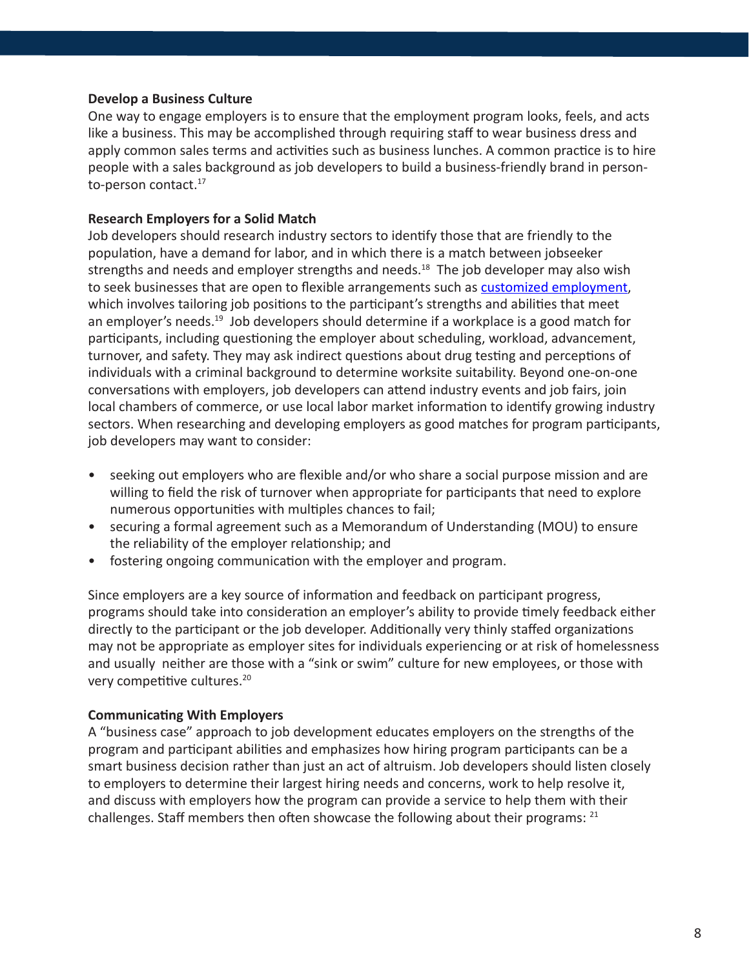#### **Develop a Business Culture**

One way to engage employers is to ensure that the employment program looks, feels, and acts like a business. This may be accomplished through requiring staff to wear business dress and apply common sales terms and activities such as business lunches. A common practice is to hire people with a sales background as job developers to build a business-friendly brand in personto-person contact.<sup>17</sup>

#### **Research Employers for a Solid Match**

Job developers should research industry sectors to identify those that are friendly to the population, have a demand for labor, and in which there is a match between jobseeker strengths and needs and employer strengths and needs.<sup>18</sup> The job developer may also wish to seek businesses that are open to flexible arrangements such as [customized employment](http://www.heartlandalliance.org/ntjn/ntjn-weh-models-1-24-2012.pdf), which involves tailoring job positions to the participant's strengths and abilities that meet an employer's needs.<sup>19</sup> Job developers should determine if a workplace is a good match for participants, including questioning the employer about scheduling, workload, advancement, turnover, and safety. They may ask indirect questions about drug testing and perceptions of individuals with a criminal background to determine worksite suitability. Beyond one-on-one conversations with employers, job developers can attend industry events and job fairs, join local chambers of commerce, or use local labor market information to identify growing industry sectors. When researching and developing employers as good matches for program participants, job developers may want to consider:

- seeking out employers who are flexible and/or who share a social purpose mission and are willing to field the risk of turnover when appropriate for participants that need to explore numerous opportunities with multiples chances to fail;
- securing a formal agreement such as a Memorandum of Understanding (MOU) to ensure the reliability of the employer relationship; and
- fostering ongoing communication with the employer and program.

Since employers are a key source of information and feedback on participant progress, programs should take into consideration an employer's ability to provide timely feedback either directly to the participant or the job developer. Additionally very thinly staffed organizations may not be appropriate as employer sites for individuals experiencing or at risk of homelessness and usually neither are those with a "sink or swim" culture for new employees, or those with very competitive cultures.<sup>20</sup>

#### **Communicating With Employers**

A "business case" approach to job development educates employers on the strengths of the program and participant abilities and emphasizes how hiring program participants can be a smart business decision rather than just an act of altruism. Job developers should listen closely to employers to determine their largest hiring needs and concerns, work to help resolve it, and discuss with employers how the program can provide a service to help them with their challenges. Staff members then often showcase the following about their programs: <sup>21</sup>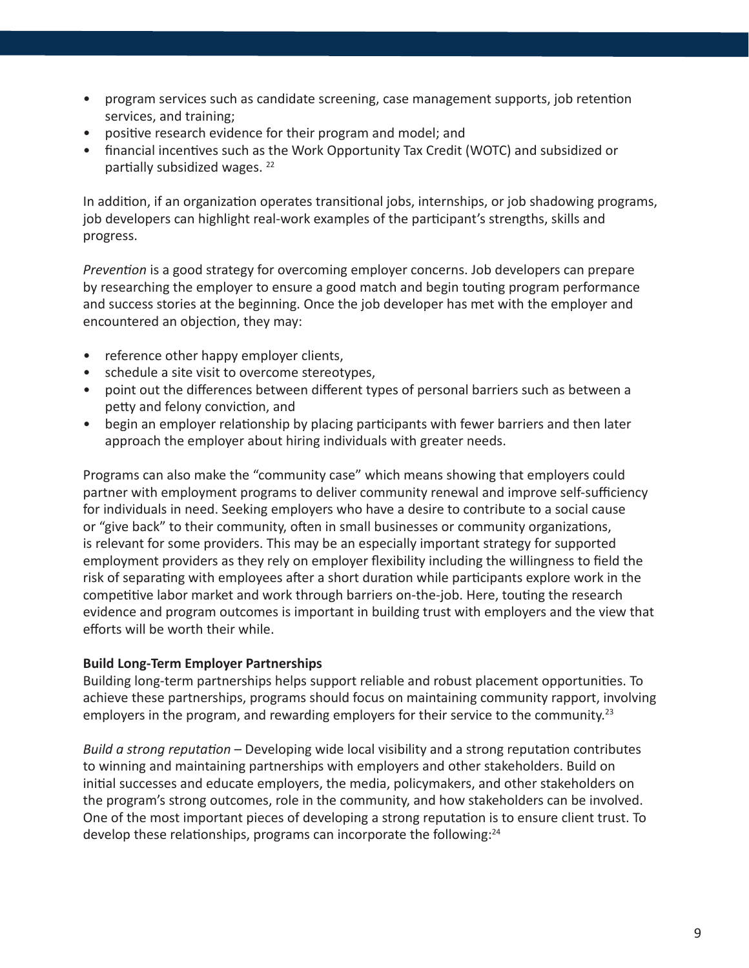- program services such as candidate screening, case management supports, job retention services, and training;
- positive research evidence for their program and model; and
- financial incentives such as the Work Opportunity Tax Credit (WOTC) and subsidized or partially subsidized wages. 22

In addition, if an organization operates transitional jobs, internships, or job shadowing programs, job developers can highlight real-work examples of the participant's strengths, skills and progress.

*Prevention* is a good strategy for overcoming employer concerns. Job developers can prepare by researching the employer to ensure a good match and begin touting program performance and success stories at the beginning. Once the job developer has met with the employer and encountered an objection, they may:

- reference other happy employer clients,
- schedule a site visit to overcome stereotypes,
- point out the differences between different types of personal barriers such as between a petty and felony conviction, and
- begin an employer relationship by placing participants with fewer barriers and then later approach the employer about hiring individuals with greater needs.

Programs can also make the "community case" which means showing that employers could partner with employment programs to deliver community renewal and improve self-sufficiency for individuals in need. Seeking employers who have a desire to contribute to a social cause or "give back" to their community, often in small businesses or community organizations, is relevant for some providers. This may be an especially important strategy for supported employment providers as they rely on employer flexibility including the willingness to field the risk of separating with employees after a short duration while participants explore work in the competitive labor market and work through barriers on-the-job. Here, touting the research evidence and program outcomes is important in building trust with employers and the view that efforts will be worth their while.

#### **Build Long-Term Employer Partnerships**

Building long-term partnerships helps support reliable and robust placement opportunities. To achieve these partnerships, programs should focus on maintaining community rapport, involving employers in the program, and rewarding employers for their service to the community.<sup>23</sup>

*Build a strong reputation* – Developing wide local visibility and a strong reputation contributes to winning and maintaining partnerships with employers and other stakeholders. Build on initial successes and educate employers, the media, policymakers, and other stakeholders on the program's strong outcomes, role in the community, and how stakeholders can be involved. One of the most important pieces of developing a strong reputation is to ensure client trust. To develop these relationships, programs can incorporate the following:<sup>24</sup>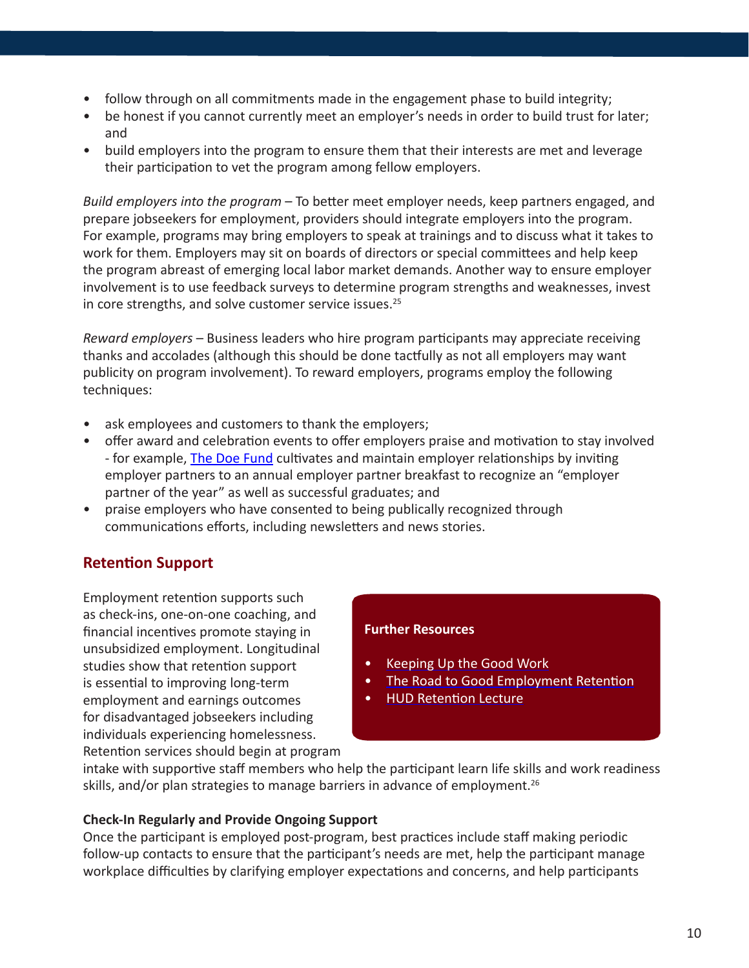- <span id="page-9-0"></span>• follow through on all commitments made in the engagement phase to build integrity;
- be honest if you cannot currently meet an employer's needs in order to build trust for later; and
- build employers into the program to ensure them that their interests are met and leverage their participation to vet the program among fellow employers.

*Build employers into the program* – To better meet employer needs, keep partners engaged, and prepare jobseekers for employment, providers should integrate employers into the program. For example, programs may bring employers to speak at trainings and to discuss what it takes to work for them. Employers may sit on boards of directors or special committees and help keep the program abreast of emerging local labor market demands. Another way to ensure employer involvement is to use feedback surveys to determine program strengths and weaknesses, invest in core strengths, and solve customer service issues.<sup>25</sup>

*Reward employers* – Business leaders who hire program participants may appreciate receiving thanks and accolades (although this should be done tactfully as not all employers may want publicity on program involvement). To reward employers, programs employ the following techniques:

- ask employees and customers to thank the employers;
- offer award and celebration events to offer employers praise and motivation to stay involved - for example, [The Doe Fund](http://www.doe.org/) cultivates and maintain employer relationships by inviting employer partners to an annual employer partner breakfast to recognize an "employer partner of the year" as well as successful graduates; and
- praise employers who have consented to being publically recognized through communications efforts, including newsletters and news stories.

## **Retention Support**

Employment retention supports such as check-ins, one-on-one coaching, and financial incentives promote staying in unsubsidized employment. Longitudinal studies show that retention support is essential to improving long-term employment and earnings outcomes for disadvantaged jobseekers including individuals experiencing homelessness. Retention services should begin at program

#### **Further Resources**

- [Keeping Up the Good Work](http://documents.csh.org/documents/cheta/KeepingUptheGoodWork.pdf)
- [The Road to Good Employment Retention](https://folio.iupui.edu/bitstream/handle/10244/103/FES3622H335.pdf?sequence=1)
- [HUD Retention Lecture](http://hudhre.info/documents/AudioLecture7_Pamphlet.pdf)

intake with supportive staff members who help the participant learn life skills and work readiness skills, and/or plan strategies to manage barriers in advance of employment.<sup>26</sup>

#### **Check-In Regularly and Provide Ongoing Support**

Once the participant is employed post-program, best practices include staff making periodic follow-up contacts to ensure that the participant's needs are met, help the participant manage workplace difficulties by clarifying employer expectations and concerns, and help participants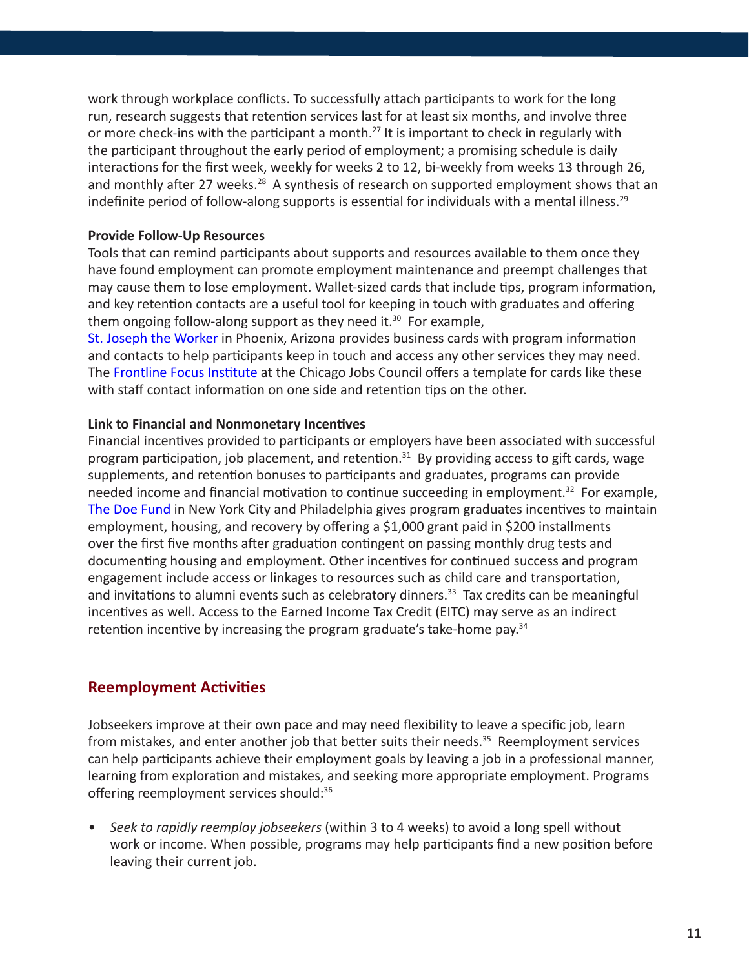<span id="page-10-0"></span>work through workplace conflicts. To successfully attach participants to work for the long run, research suggests that retention services last for at least six months, and involve three or more check-ins with the participant a month.<sup>27</sup> It is important to check in regularly with the participant throughout the early period of employment; a promising schedule is daily interactions for the first week, weekly for weeks 2 to 12, bi-weekly from weeks 13 through 26, and monthly after 27 weeks.<sup>28</sup> A synthesis of research on supported employment shows that an indefinite period of follow-along supports is essential for individuals with a mental illness.<sup>29</sup>

#### **Provide Follow-Up Resources**

Tools that can remind participants about supports and resources available to them once they have found employment can promote employment maintenance and preempt challenges that may cause them to lose employment. Wallet-sized cards that include tips, program information, and key retention contacts are a useful tool for keeping in touch with graduates and offering them ongoing follow-along support as they need it. $30$  For example,

[St. Joseph the Worker](http://www.sjwjobs.org/) in Phoenix, Arizona provides business cards with program information and contacts to help participants keep in touch and access any other services they may need. The [Frontline Focus Institute](http://cjc.net/frontline-focus/) at the Chicago Jobs Council offers a template for cards like these with staff contact information on one side and retention tips on the other.

#### **Link to Financial and Nonmonetary Incentives**

Financial incentives provided to participants or employers have been associated with successful program participation, job placement, and retention.<sup>31</sup> By providing access to gift cards, wage supplements, and retention bonuses to participants and graduates, programs can provide needed income and financial motivation to continue succeeding in employment.<sup>32</sup> For example, [The Doe Fund](http://www.doe.org/) in New York City and Philadelphia gives program graduates incentives to maintain employment, housing, and recovery by offering a \$1,000 grant paid in \$200 installments over the first five months after graduation contingent on passing monthly drug tests and documenting housing and employment. Other incentives for continued success and program engagement include access or linkages to resources such as child care and transportation, and invitations to alumni events such as celebratory dinners.<sup>33</sup> Tax credits can be meaningful incentives as well. Access to the Earned Income Tax Credit (EITC) may serve as an indirect retention incentive by increasing the program graduate's take-home pay.<sup>34</sup>

#### **Reemployment Activities**

Jobseekers improve at their own pace and may need flexibility to leave a specific job, learn from mistakes, and enter another job that better suits their needs.<sup>35</sup> Reemployment services can help participants achieve their employment goals by leaving a job in a professional manner, learning from exploration and mistakes, and seeking more appropriate employment. Programs offering reemployment services should:<sup>36</sup>

*• Seek to rapidly reemploy jobseekers* (within 3 to 4 weeks) to avoid a long spell without work or income. When possible, programs may help participants find a new position before leaving their current job.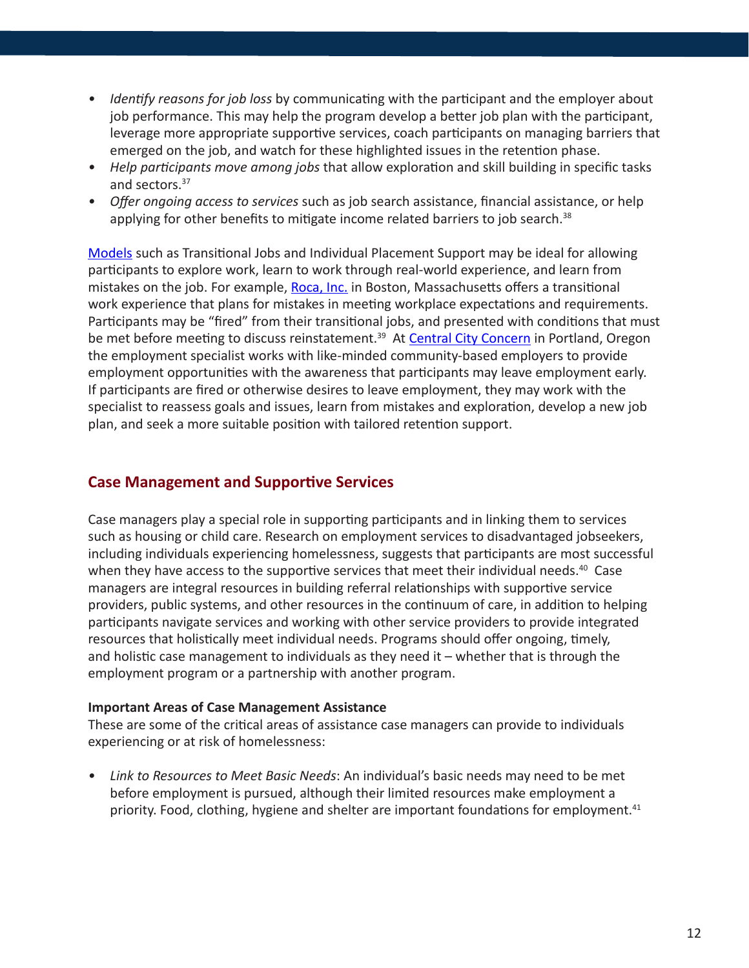- <span id="page-11-0"></span>*• Identify reasons for job loss* by communicating with the participant and the employer about job performance. This may help the program develop a better job plan with the participant, leverage more appropriate supportive services, coach participants on managing barriers that emerged on the job, and watch for these highlighted issues in the retention phase.
- *• Help participants move among jobs* that allow exploration and skill building in specific tasks and sectors.37
- *• Offer ongoing access to services* such as job search assistance, financial assistance, or help applying for other benefits to mitigate income related barriers to job search. $38$

[Models](http://www.heartlandalliance.org/ntjn/ntjn-weh-models-1-24-2012.pdf) such as Transitional Jobs and Individual Placement Support may be ideal for allowing participants to explore work, learn to work through real-world experience, and learn from mistakes on the job. For example, [Roca, Inc.](http://rocainc.org/) in Boston, Massachusetts offers a transitional work experience that plans for mistakes in meeting workplace expectations and requirements. Participants may be "fired" from their transitional jobs, and presented with conditions that must be met before meeting to discuss reinstatement.<sup>39</sup> At [Central City Concern](http://www.ccconcern.org/) in Portland, Oregon the employment specialist works with like-minded community-based employers to provide employment opportunities with the awareness that participants may leave employment early. If participants are fired or otherwise desires to leave employment, they may work with the specialist to reassess goals and issues, learn from mistakes and exploration, develop a new job plan, and seek a more suitable position with tailored retention support.

## **Case Management and Supportive Services**

Case managers play a special role in supporting participants and in linking them to services such as housing or child care. Research on employment services to disadvantaged jobseekers, including individuals experiencing homelessness, suggests that participants are most successful when they have access to the supportive services that meet their individual needs.<sup>40</sup> Case managers are integral resources in building referral relationships with supportive service providers, public systems, and other resources in the continuum of care, in addition to helping participants navigate services and working with other service providers to provide integrated resources that holistically meet individual needs. Programs should offer ongoing, timely, and holistic case management to individuals as they need it – whether that is through the employment program or a partnership with another program.

#### **Important Areas of Case Management Assistance**

These are some of the critical areas of assistance case managers can provide to individuals experiencing or at risk of homelessness:

*• Link to Resources to Meet Basic Needs*: An individual's basic needs may need to be met before employment is pursued, although their limited resources make employment a priority. Food, clothing, hygiene and shelter are important foundations for employment.<sup>41</sup>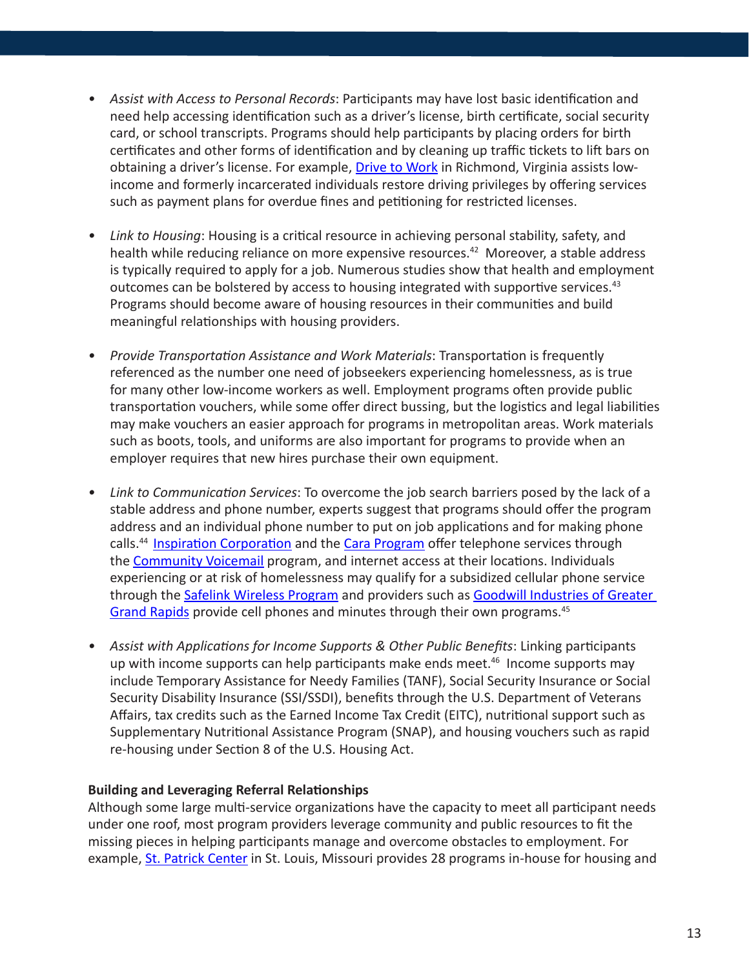- *• Assist with Access to Personal Records*: Participants may have lost basic identification and need help accessing identification such as a driver's license, birth certificate, social security card, or school transcripts. Programs should help participants by placing orders for birth certificates and other forms of identification and by cleaning up traffic tickets to lift bars on obtaining a driver's license. For example, [Drive to Work](http://www.drivetowork.org/drive.cfm) in Richmond, Virginia assists lowincome and formerly incarcerated individuals restore driving privileges by offering services such as payment plans for overdue fines and petitioning for restricted licenses.
- *• Link to Housing*: Housing is a critical resource in achieving personal stability, safety, and health while reducing reliance on more expensive resources.<sup>42</sup> Moreover, a stable address is typically required to apply for a job. Numerous studies show that health and employment outcomes can be bolstered by access to housing integrated with supportive services.<sup>43</sup> Programs should become aware of housing resources in their communities and build meaningful relationships with housing providers.
- *• Provide Transportation Assistance and Work Materials*: Transportation is frequently referenced as the number one need of jobseekers experiencing homelessness, as is true for many other low-income workers as well. Employment programs often provide public transportation vouchers, while some offer direct bussing, but the logistics and legal liabilities may make vouchers an easier approach for programs in metropolitan areas. Work materials such as boots, tools, and uniforms are also important for programs to provide when an employer requires that new hires purchase their own equipment.
- *• Link to Communication Services*: To overcome the job search barriers posed by the lack of a stable address and phone number, experts suggest that programs should offer the program address and an individual phone number to put on job applications and for making phone calls.<sup>44</sup> [Inspiration Corporation](http://inspirationcorp.org/) and the [Cara Program](http://www.thecaraprogram.org/) offer telephone services through the [Community Voicemail](http://www.cvm.org/) program, and internet access at their locations. Individuals experiencing or at risk of homelessness may qualify for a subsidized cellular phone service through the [Safelink Wireless Program](https://www.safelinkwireless.com/Safelink/) and providers such as Goodwill Industries of Greater [Grand Rapids](http://www.goodwillgr.org/) provide cell phones and minutes through their own programs.<sup>45</sup>
- *• Assist with Applications for Income Supports & Other Public Benefits*: Linking participants up with income supports can help participants make ends meet. $46$  Income supports may include Temporary Assistance for Needy Families (TANF), Social Security Insurance or Social Security Disability Insurance (SSI/SSDI), benefits through the U.S. Department of Veterans Affairs, tax credits such as the Earned Income Tax Credit (EITC), nutritional support such as Supplementary Nutritional Assistance Program (SNAP), and housing vouchers such as rapid re-housing under Section 8 of the U.S. Housing Act.

#### **Building and Leveraging Referral Relationships**

Although some large multi-service organizations have the capacity to meet all participant needs under one roof, most program providers leverage community and public resources to fit the missing pieces in helping participants manage and overcome obstacles to employment. For example, [St. Patrick Center](http://www.stpatrickcenter.org/) in St. Louis, Missouri provides 28 programs in-house for housing and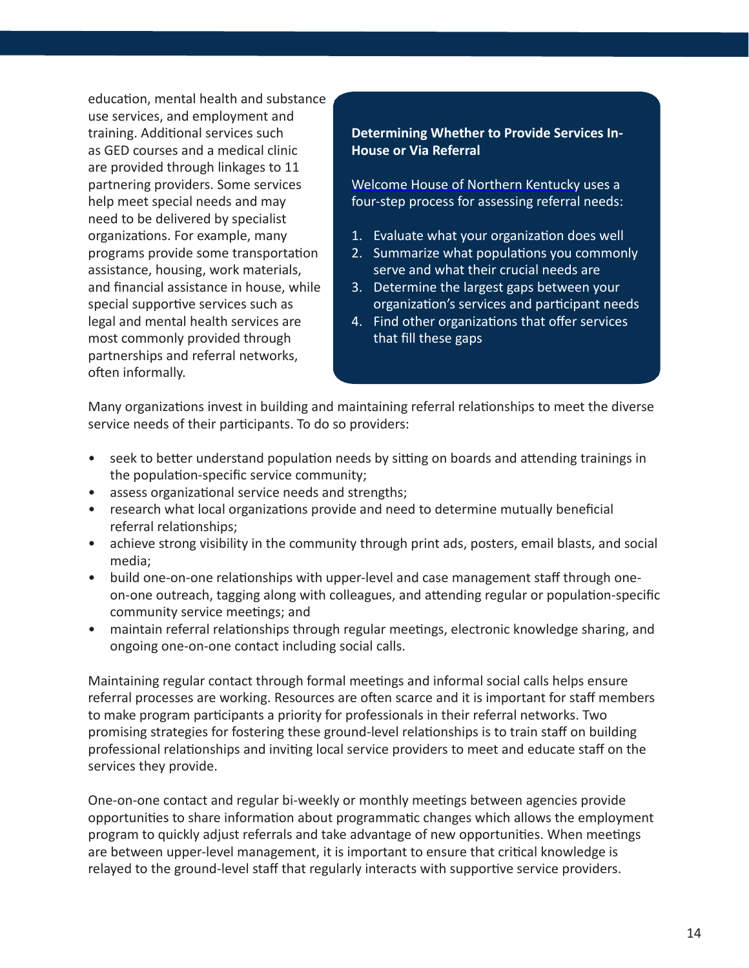education, mental health and substance use services, and employment and training. Additional services such as GED courses and a medical clinic are provided through linkages to 11 partnering providers. Some services help meet special needs and may need to be delivered by specialist organizations. For example, many programs provide some transportation assistance, housing, work materials, and financial assistance in house, while special supportive services such as legal and mental health services are most commonly provided through partnerships and referral networks, often informally.

#### **Determining Whether to Provide Services In-House or Via Referral**

[Welcome House of Northern Kentucky](http://www.welcomehouseky.org/) uses a four-step process for assessing referral needs:

- 1. Evaluate what your organization does well
- 2. Summarize what populations you commonly serve and what their crucial needs are
- 3. Determine the largest gaps between your organization's services and participant needs
- 4. Find other organizations that offer services that fill these gaps

Many organizations invest in building and maintaining referral relationships to meet the diverse service needs of their participants. To do so providers:

- seek to better understand population needs by sitting on boards and attending trainings in the population-specific service community;
- assess organizational service needs and strengths;
- research what local organizations provide and need to determine mutually beneficial referral relationships;
- achieve strong visibility in the community through print ads, posters, email blasts, and social media;
- build one-on-one relationships with upper-level and case management staff through oneon-one outreach, tagging along with colleagues, and attending regular or population-specific community service meetings; and
- maintain referral relationships through regular meetings, electronic knowledge sharing, and ongoing one-on-one contact including social calls.

Maintaining regular contact through formal meetings and informal social calls helps ensure referral processes are working. Resources are often scarce and it is important for staff members to make program participants a priority for professionals in their referral networks. Two promising strategies for fostering these ground-level relationships is to train staff on building professional relationships and inviting local service providers to meet and educate staff on the services they provide.

One-on-one contact and regular bi-weekly or monthly meetings between agencies provide opportunities to share information about programmatic changes which allows the employment program to quickly adjust referrals and take advantage of new opportunities. When meetings are between upper-level management, it is important to ensure that critical knowledge is relayed to the ground-level staff that regularly interacts with supportive service providers.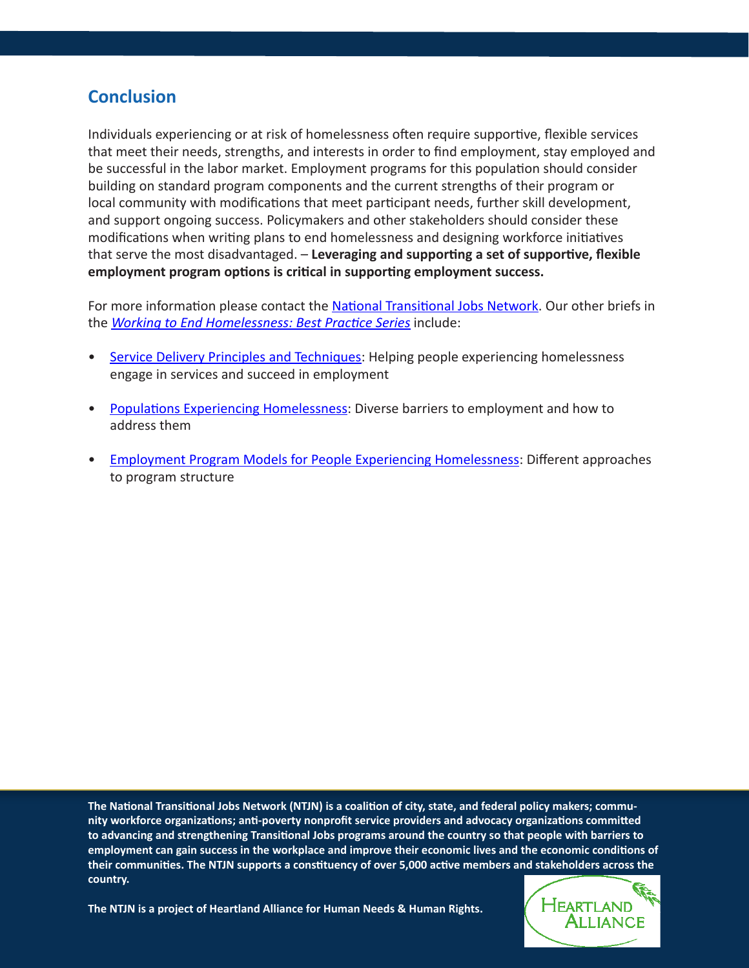# **Conclusion**

Individuals experiencing or at risk of homelessness often require supportive, flexible services that meet their needs, strengths, and interests in order to find employment, stay employed and be successful in the labor market. Employment programs for this population should consider building on standard program components and the current strengths of their program or local community with modifications that meet participant needs, further skill development, and support ongoing success. Policymakers and other stakeholders should consider these modifications when writing plans to end homelessness and designing workforce initiatives that serve the most disadvantaged. – **Leveraging and supporting a set of supportive, flexible employment program options is critical in supporting employment success.**

For more information please contact the [National Transitional Jobs Network](mailto:ntjn%40heartlandalliance.org?subject=). Our other briefs in the *[Working to End Homelessness: Best Practice Series](http://www.heartlandalliance.org/ntjn/ntjn-weh-introduction-1-24-2012.pdf)* include:

- [Service Delivery Principles and Techniques](http://www.heartlandalliance.org/ntjn/ntjn-weh-principles-1-24-2012.pdf): Helping people experiencing homelessness engage in services and succeed in employment
- [Populations Experiencing Homelessness](http://www.heartlandalliance.org/ntjn/ntjn-weh-populations-1-24-2012.pdf): Diverse barriers to employment and how to address them
- [Employment Program Models for People Experiencing Homelessness](http://www.heartlandalliance.org/ntjn/ntjn-weh-models-1-24-2012.pdf): Different approaches to program structure

**The National Transitional Jobs Network (NTJN) is a coalition of city, state, and federal policy makers; community workforce organizations; anti-poverty nonprofit service providers and advocacy organizations committed to advancing and strengthening Transitional Jobs programs around the country so that people with barriers to employment can gain success in the workplace and improve their economic lives and the economic conditions of their communities. The NTJN supports a constituency of over 5,000 active members and stakeholders across the country.** 

HEARTLAND **ALLIANCE** 

**The NTJN is a project of Heartland Alliance for Human Needs & Human Rights.**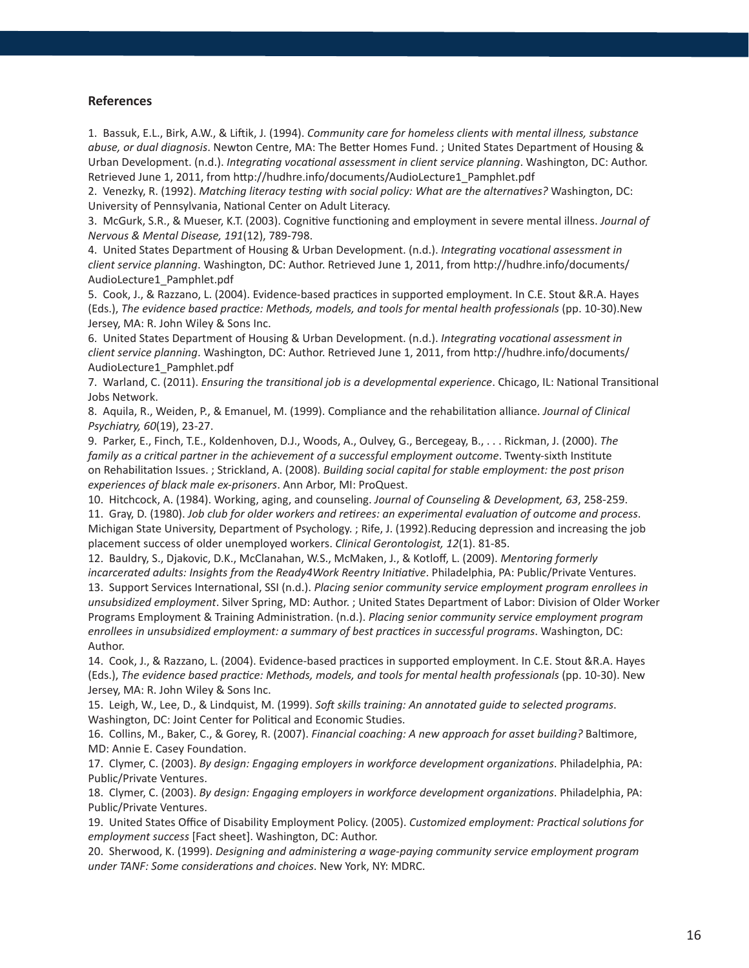#### **References**

Author.

1. Bassuk, E.L., Birk, A.W., & Liftik, J. (1994). *Community care for homeless clients with mental illness, substance abuse, or dual diagnosis*. Newton Centre, MA: The Better Homes Fund. ; United States Department of Housing & Urban Development. (n.d.). *Integrating vocational assessment in client service planning*. Washington, DC: Author. Retrieved June 1, 2011, from http://hudhre.info/documents/AudioLecture1\_Pamphlet.pdf

2. Venezky, R. (1992). *Matching literacy testing with social policy: What are the alternatives?* Washington, DC: University of Pennsylvania, National Center on Adult Literacy.

3. McGurk, S.R., & Mueser, K.T. (2003). Cognitive functioning and employment in severe mental illness. *Journal of Nervous & Mental Disease, 191*(12), 789-798.

4. United States Department of Housing & Urban Development. (n.d.). *Integrating vocational assessment in client service planning*. Washington, DC: Author. Retrieved June 1, 2011, from http://hudhre.info/documents/ AudioLecture1\_Pamphlet.pdf

5. Cook, J., & Razzano, L. (2004). Evidence-based practices in supported employment. In C.E. Stout &R.A. Hayes (Eds.), *The evidence based practice: Methods, models, and tools for mental health professionals* (pp. 10-30).New Jersey, MA: R. John Wiley & Sons Inc.

6. United States Department of Housing & Urban Development. (n.d.). *Integrating vocational assessment in client service planning*. Washington, DC: Author. Retrieved June 1, 2011, from http://hudhre.info/documents/ AudioLecture1\_Pamphlet.pdf

7. Warland, C. (2011). *Ensuring the transitional job is a developmental experience*. Chicago, IL: National Transitional Jobs Network.

8. Aquila, R., Weiden, P., & Emanuel, M. (1999). Compliance and the rehabilitation alliance. *Journal of Clinical Psychiatry, 60*(19), 23-27.

9. Parker, E., Finch, T.E., Koldenhoven, D.J., Woods, A., Oulvey, G., Bercegeay, B., . . . Rickman, J. (2000). *The family as a critical partner in the achievement of a successful employment outcome*. Twenty-sixth Institute on Rehabilitation Issues. ; Strickland, A. (2008). *Building social capital for stable employment: the post prison experiences of black male ex-prisoners*. Ann Arbor, MI: ProQuest.

10. Hitchcock, A. (1984). Working, aging, and counseling. *Journal of Counseling & Development, 63*, 258-259.

11. Gray, D. (1980). *Job club for older workers and retirees: an experimental evaluation of outcome and process*. Michigan State University, Department of Psychology. ; Rife, J. (1992).Reducing depression and increasing the job placement success of older unemployed workers. *Clinical Gerontologist, 12*(1). 81-85.

12. Bauldry, S., Djakovic, D.K., McClanahan, W.S., McMaken, J., & Kotloff, L. (2009). *Mentoring formerly incarcerated adults: Insights from the Ready4Work Reentry Initiative*. Philadelphia, PA: Public/Private Ventures. 13. Support Services International, SSI (n.d.). *Placing senior community service employment program enrollees in unsubsidized employment*. Silver Spring, MD: Author. ; United States Department of Labor: Division of Older Worker Programs Employment & Training Administration. (n.d.). *Placing senior community service employment program enrollees in unsubsidized employment: a summary of best practices in successful programs*. Washington, DC:

14. Cook, J., & Razzano, L. (2004). Evidence-based practices in supported employment. In C.E. Stout &R.A. Hayes (Eds.), *The evidence based practice: Methods, models, and tools for mental health professionals* (pp. 10-30). New Jersey, MA: R. John Wiley & Sons Inc.

15. Leigh, W., Lee, D., & Lindquist, M. (1999). *Soft skills training: An annotated guide to selected programs*. Washington, DC: Joint Center for Political and Economic Studies.

16. Collins, M., Baker, C., & Gorey, R. (2007). *Financial coaching: A new approach for asset building?* Baltimore, MD: Annie E. Casey Foundation.

17. Clymer, C. (2003). *By design: Engaging employers in workforce development organizations*. Philadelphia, PA: Public/Private Ventures.

18. Clymer, C. (2003). *By design: Engaging employers in workforce development organizations*. Philadelphia, PA: Public/Private Ventures.

19. United States Office of Disability Employment Policy. (2005). *Customized employment: Practical solutions for employment success* [Fact sheet]. Washington, DC: Author.

20. Sherwood, K. (1999). *Designing and administering a wage-paying community service employment program under TANF: Some considerations and choices*. New York, NY: MDRC.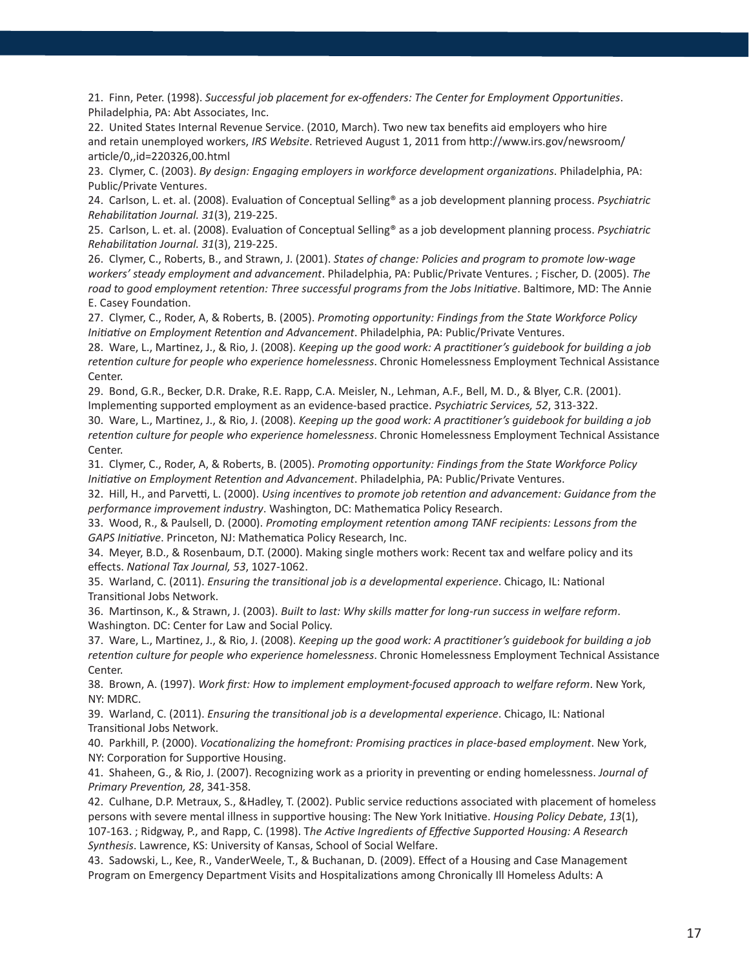21. Finn, Peter. (1998). *Successful job placement for ex-offenders: The Center for Employment Opportunities*. Philadelphia, PA: Abt Associates, Inc.

22. United States Internal Revenue Service. (2010, March). Two new tax benefits aid employers who hire and retain unemployed workers, *IRS Website*. Retrieved August 1, 2011 from http://www.irs.gov/newsroom/ article/0,,id=220326,00.html

23. Clymer, C. (2003). *By design: Engaging employers in workforce development organizations*. Philadelphia, PA: Public/Private Ventures.

24. Carlson, L. et. al. (2008). Evaluation of Conceptual Selling® as a job development planning process. *Psychiatric Rehabilitation Journal. 31*(3), 219-225.

25. Carlson, L. et. al. (2008). Evaluation of Conceptual Selling® as a job development planning process. *Psychiatric Rehabilitation Journal. 31*(3), 219-225.

26. Clymer, C., Roberts, B., and Strawn, J. (2001). *States of change: Policies and program to promote low-wage workers' steady employment and advancement*. Philadelphia, PA: Public/Private Ventures. ; Fischer, D. (2005). *The road to good employment retention: Three successful programs from the Jobs Initiative*. Baltimore, MD: The Annie E. Casey Foundation.

27. Clymer, C., Roder, A, & Roberts, B. (2005). *Promoting opportunity: Findings from the State Workforce Policy Initiative on Employment Retention and Advancement*. Philadelphia, PA: Public/Private Ventures.

28. Ware, L., Martinez, J., & Rio, J. (2008). *Keeping up the good work: A practitioner's guidebook for building a job retention culture for people who experience homelessness*. Chronic Homelessness Employment Technical Assistance Center.

29. Bond, G.R., Becker, D.R. Drake, R.E. Rapp, C.A. Meisler, N., Lehman, A.F., Bell, M. D., & Blyer, C.R. (2001). Implementing supported employment as an evidence-based practice. *Psychiatric Services, 52*, 313-322.

30. Ware, L., Martinez, J., & Rio, J. (2008). *Keeping up the good work: A practitioner's guidebook for building a job retention culture for people who experience homelessness*. Chronic Homelessness Employment Technical Assistance Center.

31. Clymer, C., Roder, A, & Roberts, B. (2005). *Promoting opportunity: Findings from the State Workforce Policy Initiative on Employment Retention and Advancement*. Philadelphia, PA: Public/Private Ventures.

32. Hill, H., and Parvetti, L. (2000). *Using incentives to promote job retention and advancement: Guidance from the performance improvement industry*. Washington, DC: Mathematica Policy Research.

33. Wood, R., & Paulsell, D. (2000). *Promoting employment retention among TANF recipients: Lessons from the GAPS Initiative*. Princeton, NJ: Mathematica Policy Research, Inc.

34. Meyer, B.D., & Rosenbaum, D.T. (2000). Making single mothers work: Recent tax and welfare policy and its effects. *National Tax Journal, 53*, 1027-1062.

35. Warland, C. (2011). *Ensuring the transitional job is a developmental experience*. Chicago, IL: National Transitional Jobs Network.

36. Martinson, K., & Strawn, J. (2003). *Built to last: Why skills matter for long-run success in welfare reform*. Washington. DC: Center for Law and Social Policy.

37. Ware, L., Martinez, J., & Rio, J. (2008). *Keeping up the good work: A practitioner's guidebook for building a job retention culture for people who experience homelessness*. Chronic Homelessness Employment Technical Assistance Center.

38. Brown, A. (1997). *Work first: How to implement employment-focused approach to welfare reform*. New York, NY: MDRC.

39. Warland, C. (2011). *Ensuring the transitional job is a developmental experience*. Chicago, IL: National Transitional Jobs Network.

40. Parkhill, P. (2000). *Vocationalizing the homefront: Promising practices in place-based employment*. New York, NY: Corporation for Supportive Housing.

41. Shaheen, G., & Rio, J. (2007). Recognizing work as a priority in preventing or ending homelessness. *Journal of Primary Prevention, 28*, 341-358.

42. Culhane, D.P. Metraux, S., &Hadley, T. (2002). Public service reductions associated with placement of homeless persons with severe mental illness in supportive housing: The New York Initiative. *Housing Policy Debate*, *13*(1), 107-163. ; Ridgway, P., and Rapp, C. (1998). T*he Active Ingredients of Effective Supported Housing: A Research Synthesis*. Lawrence, KS: University of Kansas, School of Social Welfare.

43. Sadowski, L., Kee, R., VanderWeele, T., & Buchanan, D. (2009). Effect of a Housing and Case Management Program on Emergency Department Visits and Hospitalizations among Chronically Ill Homeless Adults: A